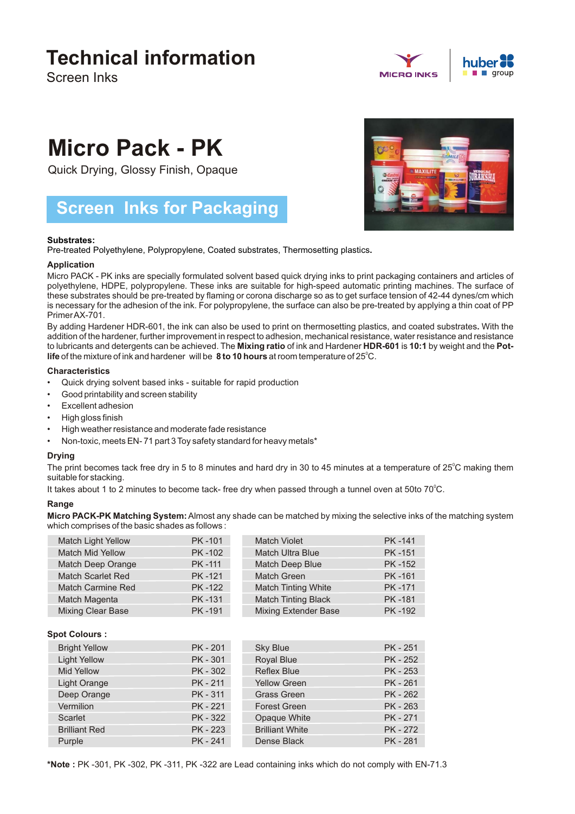## **Technical information**

Screen Inks



# **Micro Pack - PK**

Quick Drying, Glossy Finish, Opaque

### **Screen Inks for Packaging**

#### **Substrates:**

Pre-treated Polyethylene, Polypropylene, Coated substrates, Thermosetting plastics**.**

#### **Application**

Micro PACK - PK inks are specially formulated solvent based quick drying inks to print packaging containers and articles of polyethylene, HDPE, polypropylene. These inks are suitable for high-speed automatic printing machines. The surface of these substrates should be pre-treated by flaming or corona discharge so as to get surface tension of 42-44 dynes/cm which is necessary for the adhesion of the ink. For polypropylene, the surface can also be pre-treated by applying a thin coat of PP Primer AX-701.

life of the mixture of ink and hardener will be **8 to 10 hours** at room temperature of 25<sup>°</sup>C. By adding Hardener HDR-601, the ink can also be used to print on thermosetting plastics, and coated substrates**.** With the addition of the hardener, further improvement in respect to adhesion, mechanical resistance, water resistance and resistance to lubricants and detergents can be achieved. The **Mixing ratio** of ink and Hardener **HDR-601** is **10:1** by weight and the **Pot-**

#### **Characteristics**

- Quick drying solvent based inks suitable for rapid production
- Good printability and screen stability
- Excellent adhesion
- High gloss finish
- High weather resistance and moderate fade resistance
- Non-toxic, meets EN- 71 part 3 Toy safety standard for heavy metals\*

#### **Drying**

. suitable for stacking The print becomes tack free dry in 5 to 8 minutes and hard dry in 30 to 45 minutes at a temperature of 25°C making them

It takes about 1 to 2 minutes to become tack- free dry when passed through a tunnel oven at 50to 70°C.

#### **Range**

**Micro PACK-PK Matching System:**Almost any shade can be matched by mixing the selective inks of the matching system which comprises of the basic shades as follows :

| <b>Match Light Yellow</b> | PK-101        | <b>Match Violet</b>         | <b>PK-141</b> |
|---------------------------|---------------|-----------------------------|---------------|
| Match Mid Yellow          | PK-102        | Match Ultra Blue            | <b>PK-151</b> |
| Match Deep Orange         | PK-111        | Match Deep Blue             | <b>PK-152</b> |
| <b>Match Scarlet Red</b>  | PK-121        | Match Green                 | PK-161        |
| Match Carmine Red         | PK-122        | <b>Match Tinting White</b>  | PK-171        |
| Match Magenta             | <b>PK-131</b> | <b>Match Tinting Black</b>  | <b>PK-181</b> |
| <b>Mixing Clear Base</b>  | PK-191        | <b>Mixing Extender Base</b> | <b>PK-192</b> |

#### **Spot Colours :**

| <b>Bright Yellow</b> | PK - 201 | <b>Sky Blue</b>        | PK - 251 |
|----------------------|----------|------------------------|----------|
| <b>Light Yellow</b>  | PK - 301 | Royal Blue             | PK - 252 |
| <b>Mid Yellow</b>    | PK - 302 | <b>Reflex Blue</b>     | PK - 253 |
| Light Orange         | PK - 211 | <b>Yellow Green</b>    | PK - 261 |
| Deep Orange          | PK - 311 | <b>Grass Green</b>     | PK - 262 |
| Vermilion            | PK - 221 | <b>Forest Green</b>    | PK - 263 |
| Scarlet              | PK - 322 | Opaque White           | PK - 271 |
| <b>Brilliant Red</b> | PK - 223 | <b>Brilliant White</b> | PK - 272 |
| Purple               | PK - 241 | Dense Black            | PK - 281 |



**\*Note :** PK -301, PK -302, PK -311, PK -322 are Lead containing inks which do not comply with EN-71.3